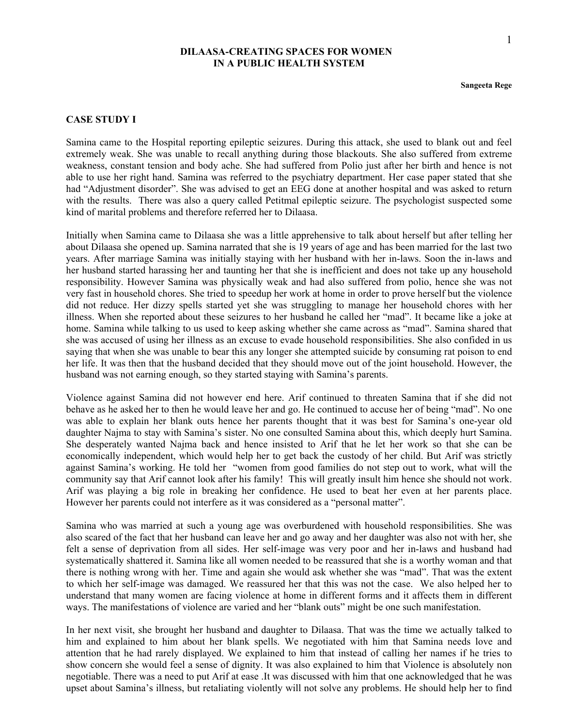## **DILAASA-CREATING SPACES FOR WOMEN IN A PUBLIC HEALTH SYSTEM**

**Sangeeta Rege** 

#### **CASE STUDY I**

Samina came to the Hospital reporting epileptic seizures. During this attack, she used to blank out and feel extremely weak. She was unable to recall anything during those blackouts. She also suffered from extreme weakness, constant tension and body ache. She had suffered from Polio just after her birth and hence is not able to use her right hand. Samina was referred to the psychiatry department. Her case paper stated that she had "Adjustment disorder". She was advised to get an EEG done at another hospital and was asked to return with the results. There was also a query called Petitmal epileptic seizure. The psychologist suspected some kind of marital problems and therefore referred her to Dilaasa.

Initially when Samina came to Dilaasa she was a little apprehensive to talk about herself but after telling her about Dilaasa she opened up. Samina narrated that she is 19 years of age and has been married for the last two years. After marriage Samina was initially staying with her husband with her in-laws. Soon the in-laws and her husband started harassing her and taunting her that she is inefficient and does not take up any household responsibility. However Samina was physically weak and had also suffered from polio, hence she was not very fast in household chores. She tried to speedup her work at home in order to prove herself but the violence did not reduce. Her dizzy spells started yet she was struggling to manage her household chores with her illness. When she reported about these seizures to her husband he called her "mad". It became like a joke at home. Samina while talking to us used to keep asking whether she came across as "mad". Samina shared that she was accused of using her illness as an excuse to evade household responsibilities. She also confided in us saying that when she was unable to bear this any longer she attempted suicide by consuming rat poison to end her life. It was then that the husband decided that they should move out of the joint household. However, the husband was not earning enough, so they started staying with Samina's parents.

Violence against Samina did not however end here. Arif continued to threaten Samina that if she did not behave as he asked her to then he would leave her and go. He continued to accuse her of being "mad". No one was able to explain her blank outs hence her parents thought that it was best for Samina's one-year old daughter Najma to stay with Samina's sister. No one consulted Samina about this, which deeply hurt Samina. She desperately wanted Najma back and hence insisted to Arif that he let her work so that she can be economically independent, which would help her to get back the custody of her child. But Arif was strictly against Samina's working. He told her "women from good families do not step out to work, what will the community say that Arif cannot look after his family! This will greatly insult him hence she should not work. Arif was playing a big role in breaking her confidence. He used to beat her even at her parents place. However her parents could not interfere as it was considered as a "personal matter".

Samina who was married at such a young age was overburdened with household responsibilities. She was also scared of the fact that her husband can leave her and go away and her daughter was also not with her, she felt a sense of deprivation from all sides. Her self-image was very poor and her in-laws and husband had systematically shattered it. Samina like all women needed to be reassured that she is a worthy woman and that there is nothing wrong with her. Time and again she would ask whether she was "mad". That was the extent to which her self-image was damaged. We reassured her that this was not the case. We also helped her to understand that many women are facing violence at home in different forms and it affects them in different ways. The manifestations of violence are varied and her "blank outs" might be one such manifestation.

In her next visit, she brought her husband and daughter to Dilaasa. That was the time we actually talked to him and explained to him about her blank spells. We negotiated with him that Samina needs love and attention that he had rarely displayed. We explained to him that instead of calling her names if he tries to show concern she would feel a sense of dignity. It was also explained to him that Violence is absolutely non negotiable. There was a need to put Arif at ease .It was discussed with him that one acknowledged that he was upset about Samina's illness, but retaliating violently will not solve any problems. He should help her to find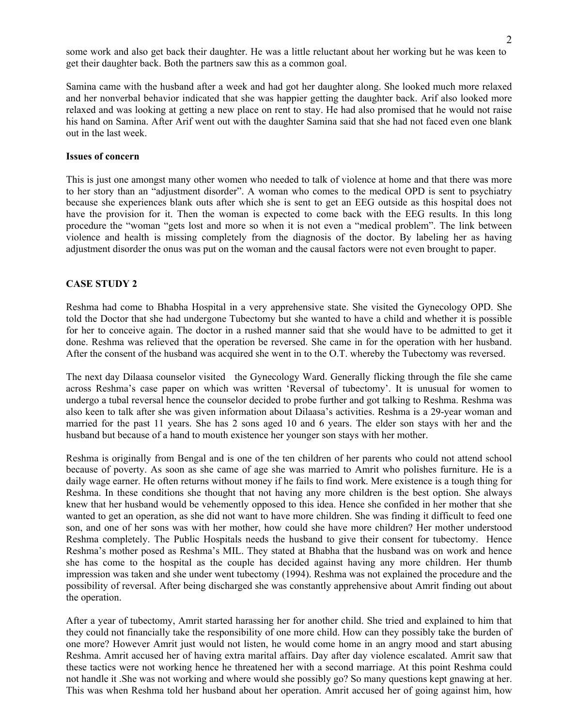some work and also get back their daughter. He was a little reluctant about her working but he was keen to get their daughter back. Both the partners saw this as a common goal.

Samina came with the husband after a week and had got her daughter along. She looked much more relaxed and her nonverbal behavior indicated that she was happier getting the daughter back. Arif also looked more relaxed and was looking at getting a new place on rent to stay. He had also promised that he would not raise his hand on Samina. After Arif went out with the daughter Samina said that she had not faced even one blank out in the last week.

## **Issues of concern**

This is just one amongst many other women who needed to talk of violence at home and that there was more to her story than an "adjustment disorder". A woman who comes to the medical OPD is sent to psychiatry because she experiences blank outs after which she is sent to get an EEG outside as this hospital does not have the provision for it. Then the woman is expected to come back with the EEG results. In this long procedure the "woman "gets lost and more so when it is not even a "medical problem". The link between violence and health is missing completely from the diagnosis of the doctor. By labeling her as having adjustment disorder the onus was put on the woman and the causal factors were not even brought to paper.

#### **CASE STUDY 2**

Reshma had come to Bhabha Hospital in a very apprehensive state. She visited the Gynecology OPD. She told the Doctor that she had undergone Tubectomy but she wanted to have a child and whether it is possible for her to conceive again. The doctor in a rushed manner said that she would have to be admitted to get it done. Reshma was relieved that the operation be reversed. She came in for the operation with her husband. After the consent of the husband was acquired she went in to the O.T. whereby the Tubectomy was reversed.

The next day Dilaasa counselor visited the Gynecology Ward. Generally flicking through the file she came across Reshma's case paper on which was written 'Reversal of tubectomy'. It is unusual for women to undergo a tubal reversal hence the counselor decided to probe further and got talking to Reshma. Reshma was also keen to talk after she was given information about Dilaasa's activities. Reshma is a 29-year woman and married for the past 11 years. She has 2 sons aged 10 and 6 years. The elder son stays with her and the husband but because of a hand to mouth existence her younger son stays with her mother.

Reshma is originally from Bengal and is one of the ten children of her parents who could not attend school because of poverty. As soon as she came of age she was married to Amrit who polishes furniture. He is a daily wage earner. He often returns without money if he fails to find work. Mere existence is a tough thing for Reshma. In these conditions she thought that not having any more children is the best option. She always knew that her husband would be vehemently opposed to this idea. Hence she confided in her mother that she wanted to get an operation, as she did not want to have more children. She was finding it difficult to feed one son, and one of her sons was with her mother, how could she have more children? Her mother understood Reshma completely. The Public Hospitals needs the husband to give their consent for tubectomy. Hence Reshma's mother posed as Reshma's MIL. They stated at Bhabha that the husband was on work and hence she has come to the hospital as the couple has decided against having any more children. Her thumb impression was taken and she under went tubectomy (1994). Reshma was not explained the procedure and the possibility of reversal. After being discharged she was constantly apprehensive about Amrit finding out about the operation.

After a year of tubectomy, Amrit started harassing her for another child. She tried and explained to him that they could not financially take the responsibility of one more child. How can they possibly take the burden of one more? However Amrit just would not listen, he would come home in an angry mood and start abusing Reshma. Amrit accused her of having extra marital affairs. Day after day violence escalated. Amrit saw that these tactics were not working hence he threatened her with a second marriage. At this point Reshma could not handle it .She was not working and where would she possibly go? So many questions kept gnawing at her. This was when Reshma told her husband about her operation. Amrit accused her of going against him, how